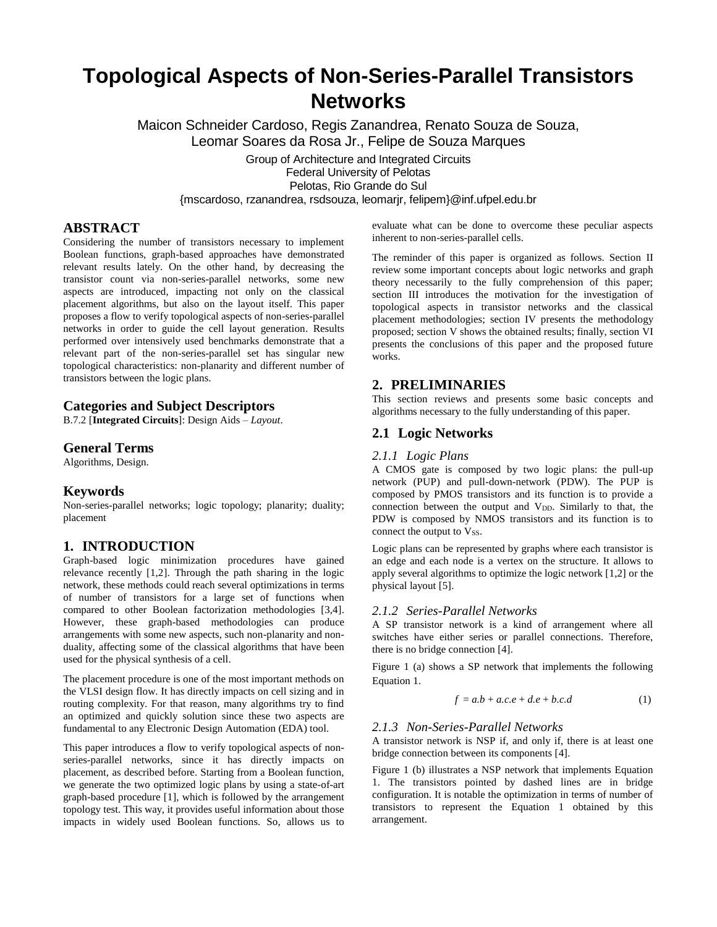# **Topological Aspects of Non-Series-Parallel Transistors Networks**

Maicon Schneider Cardoso, Regis Zanandrea, Renato Souza de Souza, Leomar Soares da Rosa Jr., Felipe de Souza Marques

Group of Architecture and Integrated Circuits Federal University of Pelotas Pelotas, Rio Grande do Sul {mscardoso, rzanandrea, rsdsouza, leomarjr, felipem}@inf.ufpel.edu.br

# **ABSTRACT**

Considering the number of transistors necessary to implement Boolean functions, graph-based approaches have demonstrated relevant results lately. On the other hand, by decreasing the transistor count via non-series-parallel networks, some new aspects are introduced, impacting not only on the classical placement algorithms, but also on the layout itself. This paper proposes a flow to verify topological aspects of non-series-parallel networks in order to guide the cell layout generation. Results performed over intensively used benchmarks demonstrate that a relevant part of the non-series-parallel set has singular new topological characteristics: non-planarity and different number of transistors between the logic plans.

## **Categories and Subject Descriptors**

B.7.2 [**Integrated Circuits**]: Design Aids – *Layout*.

#### **General Terms**

Algorithms, Design.

### **Keywords**

Non-series-parallel networks; logic topology; planarity; duality; placement

### **1. INTRODUCTION**

Graph-based logic minimization procedures have gained relevance recently [1,2]. Through the path sharing in the logic network, these methods could reach several optimizations in terms of number of transistors for a large set of functions when compared to other Boolean factorization methodologies [3,4]. However, these graph-based methodologies can produce arrangements with some new aspects, such non-planarity and nonduality, affecting some of the classical algorithms that have been used for the physical synthesis of a cell.

The placement procedure is one of the most important methods on the VLSI design flow. It has directly impacts on cell sizing and in routing complexity. For that reason, many algorithms try to find an optimized and quickly solution since these two aspects are fundamental to any Electronic Design Automation (EDA) tool.

This paper introduces a flow to verify topological aspects of nonseries-parallel networks, since it has directly impacts on placement, as described before. Starting from a Boolean function, we generate the two optimized logic plans by using a state-of-art graph-based procedure [1], which is followed by the arrangement topology test. This way, it provides useful information about those impacts in widely used Boolean functions. So, allows us to evaluate what can be done to overcome these peculiar aspects inherent to non-series-parallel cells.

The reminder of this paper is organized as follows. Section II review some important concepts about logic networks and graph theory necessarily to the fully comprehension of this paper; section III introduces the motivation for the investigation of topological aspects in transistor networks and the classical placement methodologies; section IV presents the methodology proposed; section V shows the obtained results; finally, section VI presents the conclusions of this paper and the proposed future works.

# **2. PRELIMINARIES**

This section reviews and presents some basic concepts and algorithms necessary to the fully understanding of this paper.

# **2.1 Logic Networks**

#### *2.1.1 Logic Plans*

A CMOS gate is composed by two logic plans: the pull-up network (PUP) and pull-down-network (PDW). The PUP is composed by PMOS transistors and its function is to provide a connection between the output and V<sub>DD</sub>. Similarly to that, the PDW is composed by NMOS transistors and its function is to connect the output to Vss.

Logic plans can be represented by graphs where each transistor is an edge and each node is a vertex on the structure. It allows to apply several algorithms to optimize the logic network [1,2] or the physical layout [5].

### *2.1.2 Series-Parallel Networks*

A SP transistor network is a kind of arrangement where all switches have either series or parallel connections. Therefore, there is no bridge connection [4].

Figure 1 (a) shows a SP network that implements the following Equation 1.

$$
f = a.b + a.c.e + d.e + b.c.d \tag{1}
$$

# *2.1.3 Non-Series-Parallel Networks*

A transistor network is NSP if, and only if, there is at least one bridge connection between its components [4].

Figure 1 (b) illustrates a NSP network that implements Equation 1. The transistors pointed by dashed lines are in bridge configuration. It is notable the optimization in terms of number of transistors to represent the Equation 1 obtained by this arrangement.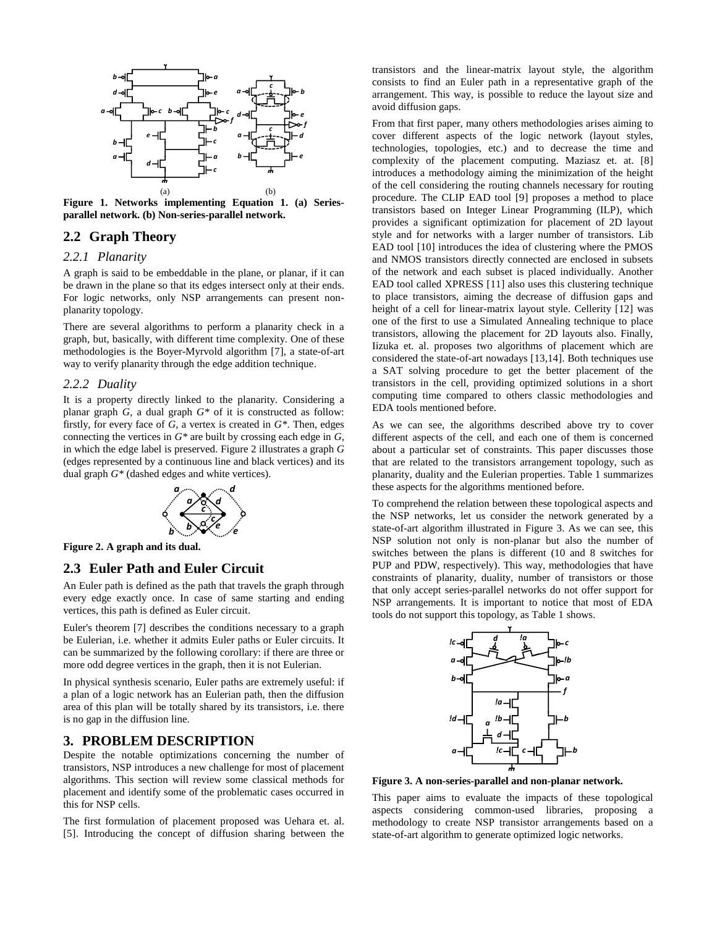

**Figure 1. Networks implementing Equation 1. (a) Seriesparallel network. (b) Non-series-parallel network.**

### **2.2 Graph Theory**

# *2.2.1 Planarity*

A graph is said to be embeddable in the plane, or planar, if it can be drawn in the plane so that its edges intersect only at their ends. For logic networks, only NSP arrangements can present nonplanarity topology.

There are several algorithms to perform a planarity check in a graph, but, basically, with different time complexity. One of these methodologies is the Boyer-Myrvold algorithm [7], a state-of-art way to verify planarity through the edge addition technique.

#### *2.2.2 Duality*

It is a property directly linked to the planarity. Considering a planar graph *G*, a dual graph *G\** of it is constructed as follow: firstly, for every face of *G*, a vertex is created in *G\**. Then, edges connecting the vertices in *G\** are built by crossing each edge in *G*, in which the edge label is preserved. Figure 2 illustrates a graph *G* (edges represented by a continuous line and black vertices) and its dual graph *G\** (dashed edges and white vertices).



**Figure 2. A graph and its dual.**

# **2.3 Euler Path and Euler Circuit**

every edge exactly once. In case of same starting and ending *e* vertices, this path is defined as Euler circuit. An Euler path is defined as the path that travels the graph through

**b** *e e e e e e e e e e e e e e e e e e e e e e e e e e e e e e e e e e e e e* be Eulerian, i.e. whether it admits Euler paths or Euler circuits. It can be summarized by the following corollary: if there are three or more odd degree vertices in the graph, then it is not Eulerian. *b <sup>c</sup>*

In physical synthesis scenario, Euler paths are extremely useful: if a plan of a logic network has an Eulerian path, then the diffusion area of this plan will be totally shared by its transistors, i.e. there *b* is no gap in the diffusion line.

### **3. PROBLEM DESCRIPTION**

Despite the notable optimizations concerning the number of transistors, NSP introduces a new challenge for most of placement algorithms. This section will review some classical methods for placement and identify some of the problematic cases occurred in this for NSP cells.

The first formulation of placement proposed was Uehara et. al. [5]. Introducing the concept of diffusion sharing between the transistors and the linear-matrix layout style, the algorithm consists to find an Euler path in a representative graph of the arrangement. This way, is possible to reduce the layout size and avoid diffusion gaps.

From that first paper, many others methodologies arises aiming to cover different aspects of the logic network (layout styles, technologies, topologies, etc.) and to decrease the time and complexity of the placement computing. Maziasz et. at. [8] introduces a methodology aiming the minimization of the height of the cell considering the routing channels necessary for routing procedure. The CLIP EAD tool [9] proposes a method to place transistors based on Integer Linear Programming (ILP), which provides a significant optimization for placement of 2D layout style and for networks with a larger number of transistors. Lib EAD tool [10] introduces the idea of clustering where the PMOS and NMOS transistors directly connected are enclosed in subsets of the network and each subset is placed individually. Another EAD tool called XPRESS [11] also uses this clustering technique to place transistors, aiming the decrease of diffusion gaps and height of a cell for linear-matrix layout style. Cellerity [12] was one of the first to use a Simulated Annealing technique to place transistors, allowing the placement for 2D layouts also. Finally, Iizuka et. al. proposes two algorithms of placement which are considered the state-of-art nowadays [13,14]. Both techniques use a SAT solving procedure to get the better placement of the transistors in the cell, providing optimized solutions in a short computing time compared to others classic methodologies and EDA tools mentioned before.

As we can see, the algorithms described above try to cover different aspects of the cell, and each one of them is concerned about a particular set of constraints. This paper discusses those that are related to the transistors arrangement topology, such as planarity, duality and the Eulerian properties. Table 1 summarizes these aspects for the algorithms mentioned before.

To comprehend the relation between these topological aspects and the NSP networks, let us consider the network generated by a state-of-art algorithm illustrated in Figure 3. As we can see, this NSP solution not only is non-planar but also the number of switches between the plans is different (10 and 8 switches for PUP and PDW, respectively). This way, methodologies that have constraints of planarity, duality, number of transistors or those that only accept series-parallel networks do not offer support for NSP arrangements. It is important to notice that most of EDA tools do not support this topology, as Table 1 shows.



**Figure 3. A non-series-parallel and non-planar network.**

This paper aims to evaluate the impacts of these topological aspects considering common-used libraries, proposing a methodology to create NSP transistor arrangements based on a state-of-art algorithm to generate optimized logic networks.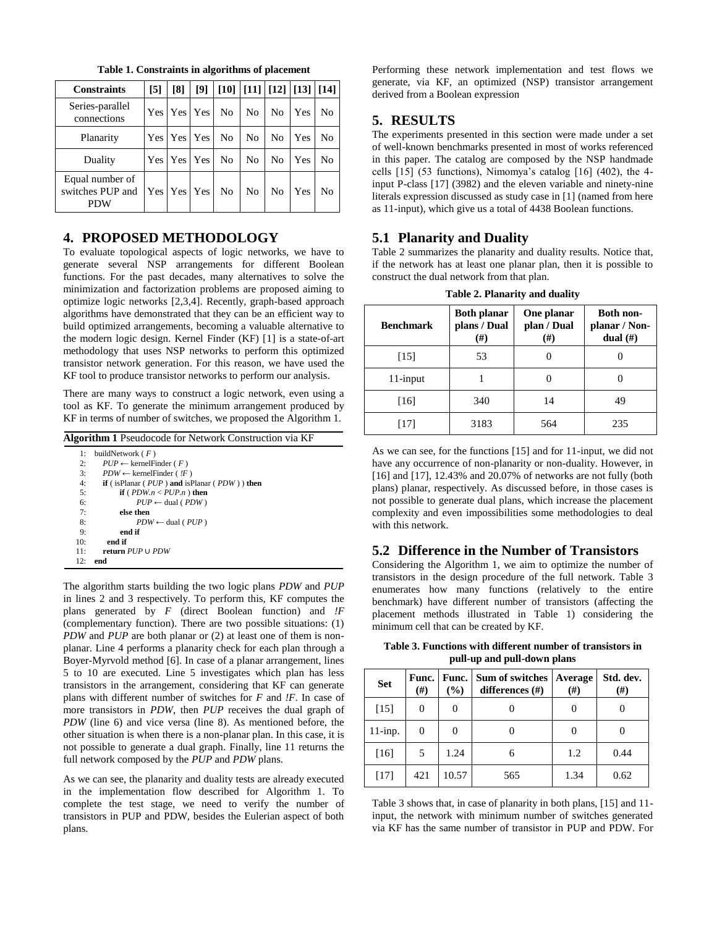| <b>Constraints</b>                         | $\sqrt{5}$ | [8]             | [9] | $\mid$ [10] $\mid$ [11] $\mid$ [12] $\mid$ [13] $\mid$ [14] |    |                |            |    |
|--------------------------------------------|------------|-----------------|-----|-------------------------------------------------------------|----|----------------|------------|----|
| Series-parallel<br>connections             |            | Yes   Yes   Yes |     | No.                                                         | No | N <sub>0</sub> | Yes        | No |
| Planarity                                  |            | Yes   Yes   Yes |     | No                                                          | No | N <sub>0</sub> | <b>Yes</b> | No |
| Duality                                    |            | Yes Yes Yes     |     | No                                                          | No | N <sub>0</sub> | Yes        | No |
| Equal number of<br>switches PUP and<br>PDW |            | Yes Yes Yes     |     | No                                                          | No | N <sub>0</sub> | Yes        | No |

**Table 1. Constraints in algorithms of placement**

# **4. PROPOSED METHODOLOGY**

To evaluate topological aspects of logic networks, we have to generate several NSP arrangements for different Boolean functions. For the past decades, many alternatives to solve the minimization and factorization problems are proposed aiming to optimize logic networks [2,3,4]. Recently, graph-based approach algorithms have demonstrated that they can be an efficient way to build optimized arrangements, becoming a valuable alternative to the modern logic design. Kernel Finder (KF) [1] is a state-of-art methodology that uses NSP networks to perform this optimized transistor network generation. For this reason, we have used the KF tool to produce transistor networks to perform our analysis.

There are many ways to construct a logic network, even using a tool as KF. To generate the minimum arrangement produced by KF in terms of number of switches, we proposed the Algorithm 1.

| <b>Algorithm 1</b> Pseudocode for Network Construction via KF |                                                             |  |  |  |
|---------------------------------------------------------------|-------------------------------------------------------------|--|--|--|
| 1:                                                            | buildNetwork $(F)$                                          |  |  |  |
| 2:                                                            | $PUP \leftarrow \text{kernelFinder} (F)$                    |  |  |  |
| 3:                                                            | $PDW \leftarrow \text{kernelFinder}$ ( !F )                 |  |  |  |
| 4:                                                            | <b>if</b> (is Planar ( $PUP$ ) and is Planar ( $PDW$ ) then |  |  |  |
| 5:                                                            | <b>if</b> ( <i>PDW.n &lt; PUP.n</i> ) then                  |  |  |  |
| 6:                                                            | $PUP \leftarrow$ dual (PDW)                                 |  |  |  |
| 7:                                                            | else then                                                   |  |  |  |
| 8:                                                            | $PDW \leftarrow$ dual ( <i>PUP</i> )                        |  |  |  |
| 9:                                                            | end if                                                      |  |  |  |
| 10:                                                           | end if                                                      |  |  |  |
| 11:                                                           | return PUP U PDW                                            |  |  |  |
| 12:                                                           | end                                                         |  |  |  |
|                                                               |                                                             |  |  |  |

The algorithm starts building the two logic plans *PDW* and *PUP* in lines 2 and 3 respectively. To perform this, KF computes the plans generated by *F* (direct Boolean function) and *!F* (complementary function). There are two possible situations: (1) *PDW* and *PUP* are both planar or (2) at least one of them is nonplanar. Line 4 performs a planarity check for each plan through a Boyer-Myrvold method [6]. In case of a planar arrangement, lines 5 to 10 are executed. Line 5 investigates which plan has less transistors in the arrangement, considering that KF can generate plans with different number of switches for *F* and *!F*. In case of more transistors in *PDW*, then *PUP* receives the dual graph of *PDW* (line 6) and vice versa (line 8). As mentioned before, the other situation is when there is a non-planar plan. In this case, it is not possible to generate a dual graph. Finally, line 11 returns the full network composed by the *PUP* and *PDW* plans.

As we can see, the planarity and duality tests are already executed in the implementation flow described for Algorithm 1. To complete the test stage, we need to verify the number of transistors in PUP and PDW, besides the Eulerian aspect of both plans.

Performing these network implementation and test flows we generate, via KF, an optimized (NSP) transistor arrangement derived from a Boolean expression

# **5. RESULTS**

The experiments presented in this section were made under a set of well-known benchmarks presented in most of works referenced in this paper. The catalog are composed by the NSP handmade cells  $\lceil 15 \rceil$  (53 functions), Nimomya's catalog  $\lceil 16 \rceil$  (402), the 4input P-class [17] (3982) and the eleven variable and ninety-nine literals expression discussed as study case in [1] (named from here as 11-input), which give us a total of 4438 Boolean functions.

# **5.1 Planarity and Duality**

Table 2 summarizes the planarity and duality results. Notice that, if the network has at least one planar plan, then it is possible to construct the dual network from that plan.

| <b>Benchmark</b> | <b>Both planar</b><br>plans / Dual<br>$(\#)$ | One planar<br>plan / Dual<br>$^{(#)}$ | <b>Both non-</b><br>planar / Non-<br>dual $(\#)$ |  |
|------------------|----------------------------------------------|---------------------------------------|--------------------------------------------------|--|
| [15]             | 53                                           |                                       |                                                  |  |
| $11$ -input      |                                              |                                       |                                                  |  |
| [16]             | 340                                          | 14                                    | 49                                               |  |
| [17]             | 3183                                         | 564                                   | 235                                              |  |

As we can see, for the functions [15] and for 11-input, we did not have any occurrence of non-planarity or non-duality. However, in [16] and [17], 12.43% and 20.07% of networks are not fully (both plans) planar, respectively. As discussed before, in those cases is not possible to generate dual plans, which increase the placement complexity and even impossibilities some methodologies to deal with this network.

# **5.2 Difference in the Number of Transistors**

Considering the Algorithm 1, we aim to optimize the number of transistors in the design procedure of the full network. Table 3 enumerates how many functions (relatively to the entire benchmark) have different number of transistors (affecting the placement methods illustrated in Table 1) considering the minimum cell that can be created by KF.

**Table 3. Functions with different number of transistors in pull-up and pull-down plans**

| <b>Set</b> | (# )     | Func. Func.<br>(%) | Sum of switches<br>differences (#) | Average<br>(#) | Std. dev.<br>(#) |  |
|------------|----------|--------------------|------------------------------------|----------------|------------------|--|
| $[15]$     | $\theta$ |                    | $\theta$                           |                |                  |  |
| $11$ -inp. | $\theta$ | $\theta$           | $\theta$                           |                |                  |  |
| [16]       | 5        | 1.24               |                                    | 1.2            | 0.44             |  |
| [17]       | 421      | 10.57              | 565                                | 1.34           | 0.62             |  |

Table 3 shows that, in case of planarity in both plans, [15] and 11 input, the network with minimum number of switches generated via KF has the same number of transistor in PUP and PDW. For